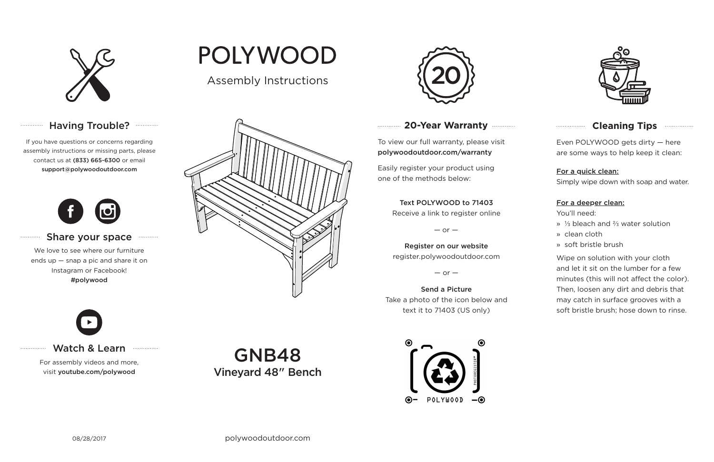

# Having Trouble? **Manager**

# **20-Year Warranty**

To view our full warranty, please visit polywoodoutdoor.com/warranty

Easily register your product using one of the methods below:

Even POLYWOOD gets dirty — here are some ways to help keep it clean:

#### For a quick clean:

Simply wipe down with soap and water.

#### For a deeper clean:

You'll need:

- » ⅓ bleach and ⅔ water solution
- » clean cloth
- » soft bristle brush

Wipe on solution with your cloth and let it sit on the lumber for a few minutes (this will not affect the color). Then, loosen any dirt and debris that may catch in surface grooves with a soft bristle brush; hose down to rinse.

#### Share your space . . . . . . . . . . .

#### Text POLYWOOD to 71403

Receive a link to register online

 $-$  or  $-$ 

Register on our website register.polywoodoutdoor.com

 $-$  or  $-$ 

Send a Picture Take a photo of the icon below and text it to 71403 (US only)





# **Cleaning Tips <b>Cleaning**</u>

### Watch & Learn

For assembly videos and more, visit youtube.com/polywood

If you have questions or concerns regarding assembly instructions or missing parts, please contact us at (833) 665-6300 or email support@polywoodoutdoor.com

. . . . . . . . . . . .

. . . . . . . . . . .

. . . . . . . . . . . . . . .



We love to see where our furniture ends up — snap a pic and share it on Instagram or Facebook! #polywood







GNB48 Vineyard 48" Bench